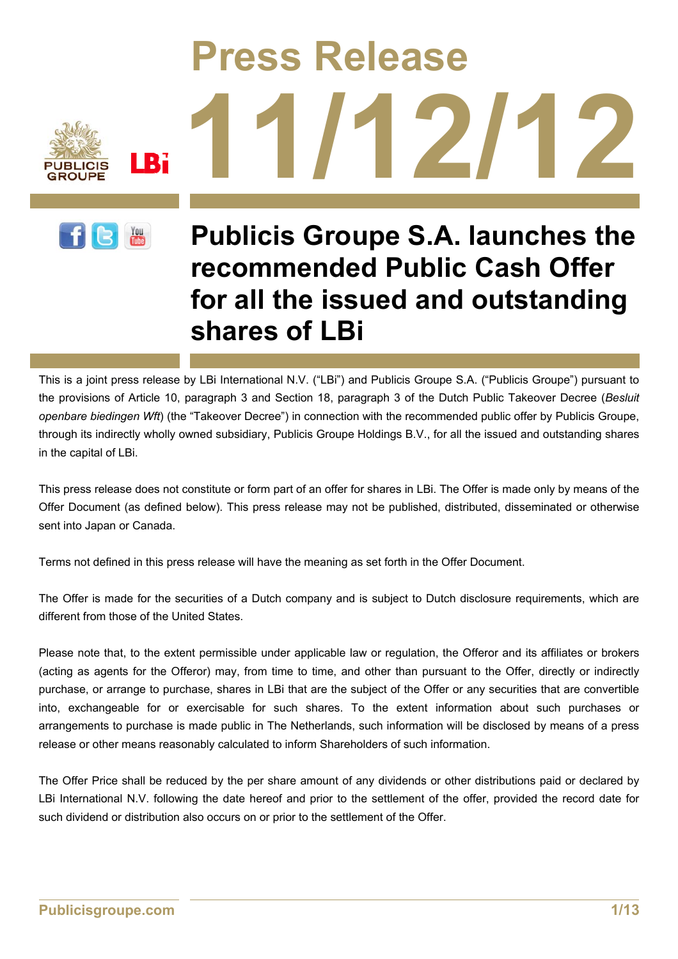# **Press Release 11/12/12**



LBi

# **Publicis Groupe S.A. launches the recommended Public Cash Offer for all the issued and outstanding shares of LBi**

This is a joint press release by LBi International N.V. ("LBi") and Publicis Groupe S.A. ("Publicis Groupe") pursuant to the provisions of Article 10, paragraph 3 and Section 18, paragraph 3 of the Dutch Public Takeover Decree (*Besluit openbare biedingen Wft*) (the "Takeover Decree") in connection with the recommended public offer by Publicis Groupe, through its indirectly wholly owned subsidiary, Publicis Groupe Holdings B.V., for all the issued and outstanding shares in the capital of LBi.

This press release does not constitute or form part of an offer for shares in LBi. The Offer is made only by means of the Offer Document (as defined below). This press release may not be published, distributed, disseminated or otherwise sent into Japan or Canada.

Terms not defined in this press release will have the meaning as set forth in the Offer Document.

The Offer is made for the securities of a Dutch company and is subject to Dutch disclosure requirements, which are different from those of the United States.

Please note that, to the extent permissible under applicable law or regulation, the Offeror and its affiliates or brokers (acting as agents for the Offeror) may, from time to time, and other than pursuant to the Offer, directly or indirectly purchase, or arrange to purchase, shares in LBi that are the subject of the Offer or any securities that are convertible into, exchangeable for or exercisable for such shares. To the extent information about such purchases or arrangements to purchase is made public in The Netherlands, such information will be disclosed by means of a press release or other means reasonably calculated to inform Shareholders of such information.

The Offer Price shall be reduced by the per share amount of any dividends or other distributions paid or declared by LBi International N.V. following the date hereof and prior to the settlement of the offer, provided the record date for such dividend or distribution also occurs on or prior to the settlement of the Offer.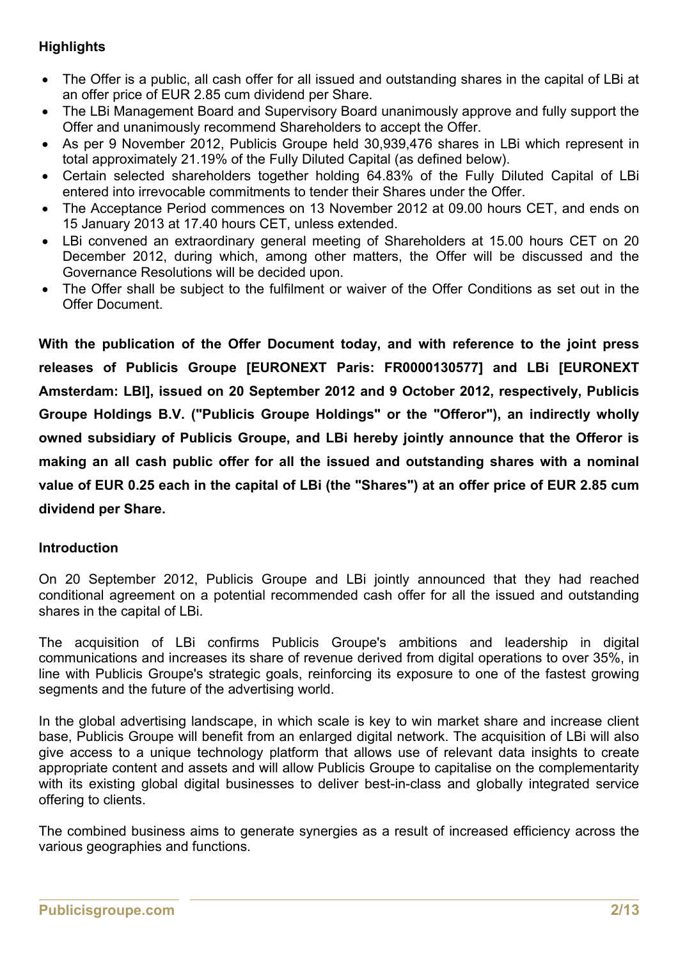# **Highlights**

- The Offer is a public, all cash offer for all issued and outstanding shares in the capital of LBi at an offer price of EUR 2.85 cum dividend per Share.
- The LBi Management Board and Supervisory Board unanimously approve and fully support the Offer and unanimously recommend Shareholders to accept the Offer.
- As per 9 November 2012, Publicis Groupe held 30,939,476 shares in LBi which represent in total approximately 21.19% of the Fully Diluted Capital (as defined below).
- Certain selected shareholders together holding 64.83% of the Fully Diluted Capital of LBi entered into irrevocable commitments to tender their Shares under the Offer.
- The Acceptance Period commences on 13 November 2012 at 09.00 hours CET, and ends on 15 January 2013 at 17.40 hours CET, unless extended.
- LBi convened an extraordinary general meeting of Shareholders at 15.00 hours CET on 20 December 2012, during which, among other matters, the Offer will be discussed and the Governance Resolutions will be decided upon.
- The Offer shall be subject to the fulfilment or waiver of the Offer Conditions as set out in the Offer Document.

**With the publication of the Offer Document today, and with reference to the joint press releases of Publicis Groupe [EURONEXT Paris: FR0000130577] and LBi [EURONEXT Amsterdam: LBI], issued on 20 September 2012 and 9 October 2012, respectively, Publicis Groupe Holdings B.V. ("Publicis Groupe Holdings" or the "Offeror"), an indirectly wholly owned subsidiary of Publicis Groupe, and LBi hereby jointly announce that the Offeror is making an all cash public offer for all the issued and outstanding shares with a nominal value of EUR 0.25 each in the capital of LBi (the "Shares") at an offer price of EUR 2.85 cum dividend per Share.**

## **Introduction**

On 20 September 2012, Publicis Groupe and LBi jointly announced that they had reached conditional agreement on a potential recommended cash offer for all the issued and outstanding shares in the capital of LBi.

The acquisition of LBi confirms Publicis Groupe's ambitions and leadership in digital communications and increases its share of revenue derived from digital operations to over 35%, in line with Publicis Groupe's strategic goals, reinforcing its exposure to one of the fastest growing segments and the future of the advertising world.

In the global advertising landscape, in which scale is key to win market share and increase client base, Publicis Groupe will benefit from an enlarged digital network. The acquisition of LBi will also give access to a unique technology platform that allows use of relevant data insights to create appropriate content and assets and will allow Publicis Groupe to capitalise on the complementarity with its existing global digital businesses to deliver best-in-class and globally integrated service offering to clients.

The combined business aims to generate synergies as a result of increased efficiency across the various geographies and functions.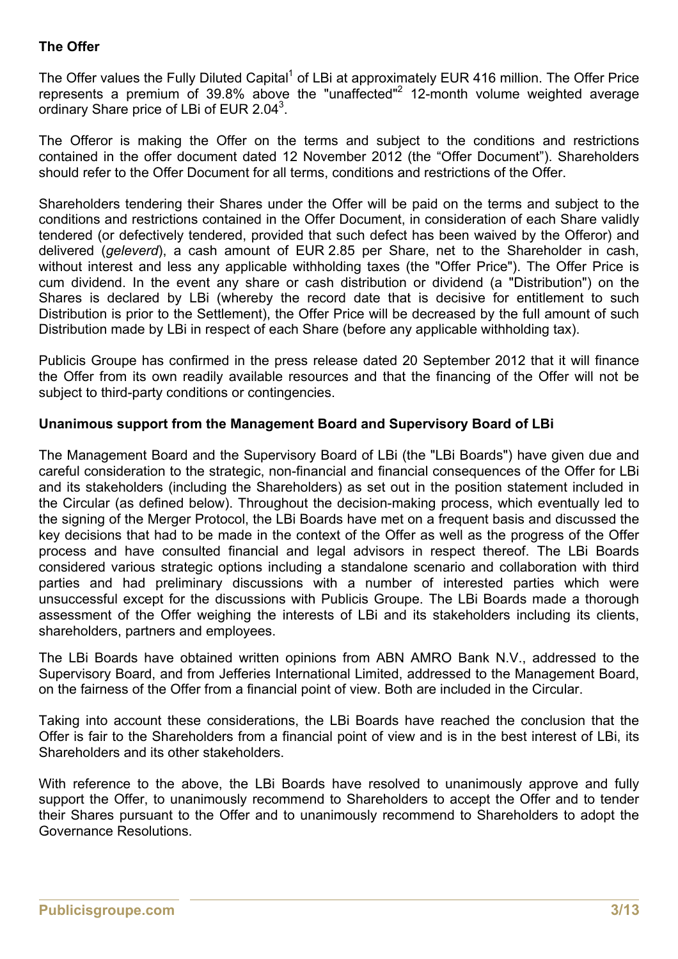#### **The Offer**

The Offer values the Fully Diluted Capital<sup>1</sup> of LBi at approximately EUR 416 million. The Offer Price represents a premium of 39.8% above the "unaffected"<sup>2</sup> 12-month volume weighted average ordinary Share price of LBi of EUR 2.04<sup>3</sup>.

The Offeror is making the Offer on the terms and subject to the conditions and restrictions contained in the offer document dated 12 November 2012 (the "Offer Document"). Shareholders should refer to the Offer Document for all terms, conditions and restrictions of the Offer.

Shareholders tendering their Shares under the Offer will be paid on the terms and subject to the conditions and restrictions contained in the Offer Document, in consideration of each Share validly tendered (or defectively tendered, provided that such defect has been waived by the Offeror) and delivered (*geleverd*), a cash amount of EUR 2.85 per Share, net to the Shareholder in cash, without interest and less any applicable withholding taxes (the "Offer Price"). The Offer Price is cum dividend. In the event any share or cash distribution or dividend (a "Distribution") on the Shares is declared by LBi (whereby the record date that is decisive for entitlement to such Distribution is prior to the Settlement), the Offer Price will be decreased by the full amount of such Distribution made by LBi in respect of each Share (before any applicable withholding tax).

Publicis Groupe has confirmed in the press release dated 20 September 2012 that it will finance the Offer from its own readily available resources and that the financing of the Offer will not be subject to third-party conditions or contingencies.

#### **Unanimous support from the Management Board and Supervisory Board of LBi**

The Management Board and the Supervisory Board of LBi (the "LBi Boards") have given due and careful consideration to the strategic, non-financial and financial consequences of the Offer for LBi and its stakeholders (including the Shareholders) as set out in the position statement included in the Circular (as defined below). Throughout the decision-making process, which eventually led to the signing of the Merger Protocol, the LBi Boards have met on a frequent basis and discussed the key decisions that had to be made in the context of the Offer as well as the progress of the Offer process and have consulted financial and legal advisors in respect thereof. The LBi Boards considered various strategic options including a standalone scenario and collaboration with third parties and had preliminary discussions with a number of interested parties which were unsuccessful except for the discussions with Publicis Groupe. The LBi Boards made a thorough assessment of the Offer weighing the interests of LBi and its stakeholders including its clients, shareholders, partners and employees.

The LBi Boards have obtained written opinions from ABN AMRO Bank N.V., addressed to the Supervisory Board, and from Jefferies International Limited, addressed to the Management Board, on the fairness of the Offer from a financial point of view. Both are included in the Circular.

Taking into account these considerations, the LBi Boards have reached the conclusion that the Offer is fair to the Shareholders from a financial point of view and is in the best interest of LBi, its Shareholders and its other stakeholders.

With reference to the above, the LBi Boards have resolved to unanimously approve and fully support the Offer, to unanimously recommend to Shareholders to accept the Offer and to tender their Shares pursuant to the Offer and to unanimously recommend to Shareholders to adopt the Governance Resolutions.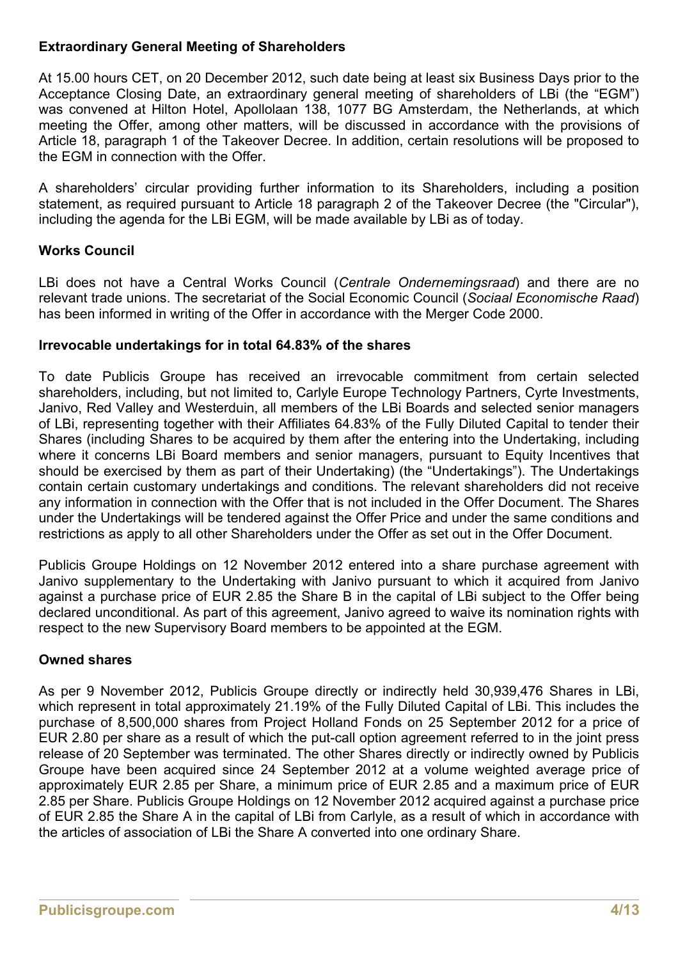#### **Extraordinary General Meeting of Shareholders**

At 15.00 hours CET, on 20 December 2012, such date being at least six Business Days prior to the Acceptance Closing Date, an extraordinary general meeting of shareholders of LBi (the "EGM") was convened at Hilton Hotel, Apollolaan 138, 1077 BG Amsterdam, the Netherlands, at which meeting the Offer, among other matters, will be discussed in accordance with the provisions of Article 18, paragraph 1 of the Takeover Decree. In addition, certain resolutions will be proposed to the EGM in connection with the Offer.

A shareholders' circular providing further information to its Shareholders, including a position statement, as required pursuant to Article 18 paragraph 2 of the Takeover Decree (the "Circular"), including the agenda for the LBi EGM, will be made available by LBi as of today.

## **Works Council**

LBi does not have a Central Works Council (*Centrale Ondernemingsraad*) and there are no relevant trade unions. The secretariat of the Social Economic Council (*Sociaal Economische Raad*) has been informed in writing of the Offer in accordance with the Merger Code 2000.

#### **Irrevocable undertakings for in total 64.83% of the shares**

To date Publicis Groupe has received an irrevocable commitment from certain selected shareholders, including, but not limited to, Carlyle Europe Technology Partners, Cyrte Investments, Janivo, Red Valley and Westerduin, all members of the LBi Boards and selected senior managers of LBi, representing together with their Affiliates 64.83% of the Fully Diluted Capital to tender their Shares (including Shares to be acquired by them after the entering into the Undertaking, including where it concerns LBi Board members and senior managers, pursuant to Equity Incentives that should be exercised by them as part of their Undertaking) (the "Undertakings"). The Undertakings contain certain customary undertakings and conditions. The relevant shareholders did not receive any information in connection with the Offer that is not included in the Offer Document. The Shares under the Undertakings will be tendered against the Offer Price and under the same conditions and restrictions as apply to all other Shareholders under the Offer as set out in the Offer Document.

Publicis Groupe Holdings on 12 November 2012 entered into a share purchase agreement with Janivo supplementary to the Undertaking with Janivo pursuant to which it acquired from Janivo against a purchase price of EUR 2.85 the Share B in the capital of LBi subject to the Offer being declared unconditional. As part of this agreement, Janivo agreed to waive its nomination rights with respect to the new Supervisory Board members to be appointed at the EGM.

#### **Owned shares**

As per 9 November 2012, Publicis Groupe directly or indirectly held 30,939,476 Shares in LBi, which represent in total approximately 21.19% of the Fully Diluted Capital of LBi. This includes the purchase of 8,500,000 shares from Project Holland Fonds on 25 September 2012 for a price of EUR 2.80 per share as a result of which the put-call option agreement referred to in the joint press release of 20 September was terminated. The other Shares directly or indirectly owned by Publicis Groupe have been acquired since 24 September 2012 at a volume weighted average price of approximately EUR 2.85 per Share, a minimum price of EUR 2.85 and a maximum price of EUR 2.85 per Share. Publicis Groupe Holdings on 12 November 2012 acquired against a purchase price of EUR 2.85 the Share A in the capital of LBi from Carlyle, as a result of which in accordance with the articles of association of LBi the Share A converted into one ordinary Share.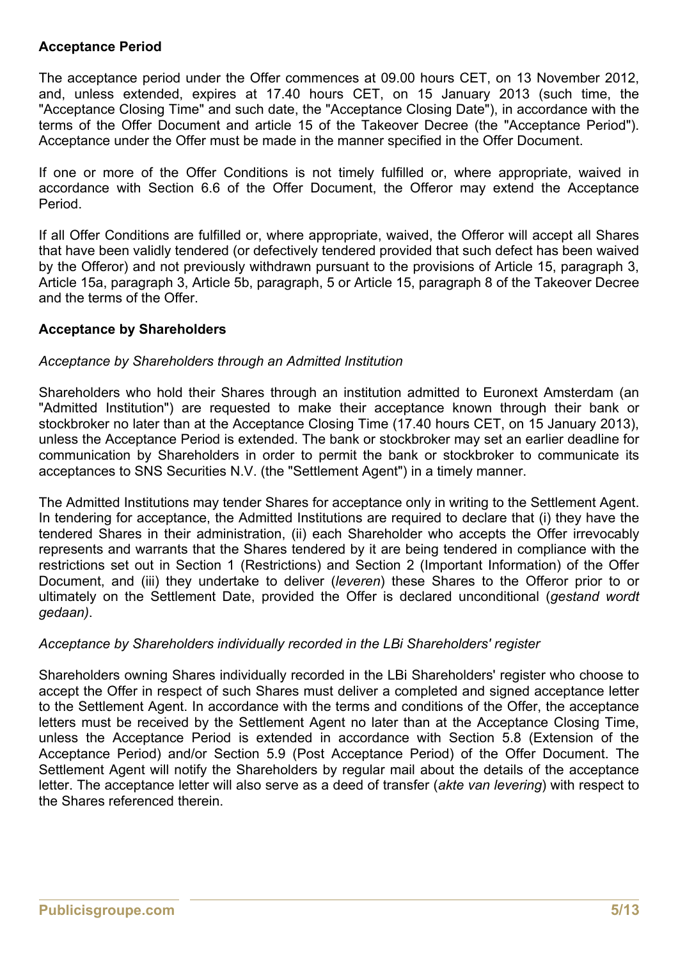#### **Acceptance Period**

The acceptance period under the Offer commences at 09.00 hours CET, on 13 November 2012, and, unless extended, expires at 17.40 hours CET, on 15 January 2013 (such time, the "Acceptance Closing Time" and such date, the "Acceptance Closing Date"), in accordance with the terms of the Offer Document and article 15 of the Takeover Decree (the "Acceptance Period"). Acceptance under the Offer must be made in the manner specified in the Offer Document.

If one or more of the Offer Conditions is not timely fulfilled or, where appropriate, waived in accordance with Section 6.6 of the Offer Document, the Offeror may extend the Acceptance Period.

If all Offer Conditions are fulfilled or, where appropriate, waived, the Offeror will accept all Shares that have been validly tendered (or defectively tendered provided that such defect has been waived by the Offeror) and not previously withdrawn pursuant to the provisions of Article 15, paragraph 3, Article 15a, paragraph 3, Article 5b, paragraph, 5 or Article 15, paragraph 8 of the Takeover Decree and the terms of the Offer.

## **Acceptance by Shareholders**

#### *Acceptance by Shareholders through an Admitted Institution*

Shareholders who hold their Shares through an institution admitted to Euronext Amsterdam (an "Admitted Institution") are requested to make their acceptance known through their bank or stockbroker no later than at the Acceptance Closing Time (17.40 hours CET, on 15 January 2013), unless the Acceptance Period is extended. The bank or stockbroker may set an earlier deadline for communication by Shareholders in order to permit the bank or stockbroker to communicate its acceptances to SNS Securities N.V. (the "Settlement Agent") in a timely manner.

The Admitted Institutions may tender Shares for acceptance only in writing to the Settlement Agent. In tendering for acceptance, the Admitted Institutions are required to declare that (i) they have the tendered Shares in their administration, (ii) each Shareholder who accepts the Offer irrevocably represents and warrants that the Shares tendered by it are being tendered in compliance with the restrictions set out in Section 1 (Restrictions) and Section 2 (Important Information) of the Offer Document, and (iii) they undertake to deliver (*leveren*) these Shares to the Offeror prior to or ultimately on the Settlement Date, provided the Offer is declared unconditional (*gestand wordt gedaan)*.

#### *Acceptance by Shareholders individually recorded in the LBi Shareholders' register*

Shareholders owning Shares individually recorded in the LBi Shareholders' register who choose to accept the Offer in respect of such Shares must deliver a completed and signed acceptance letter to the Settlement Agent. In accordance with the terms and conditions of the Offer, the acceptance letters must be received by the Settlement Agent no later than at the Acceptance Closing Time, unless the Acceptance Period is extended in accordance with Section 5.8 (Extension of the Acceptance Period) and/or Section 5.9 (Post Acceptance Period) of the Offer Document. The Settlement Agent will notify the Shareholders by regular mail about the details of the acceptance letter. The acceptance letter will also serve as a deed of transfer (*akte van levering*) with respect to the Shares referenced therein.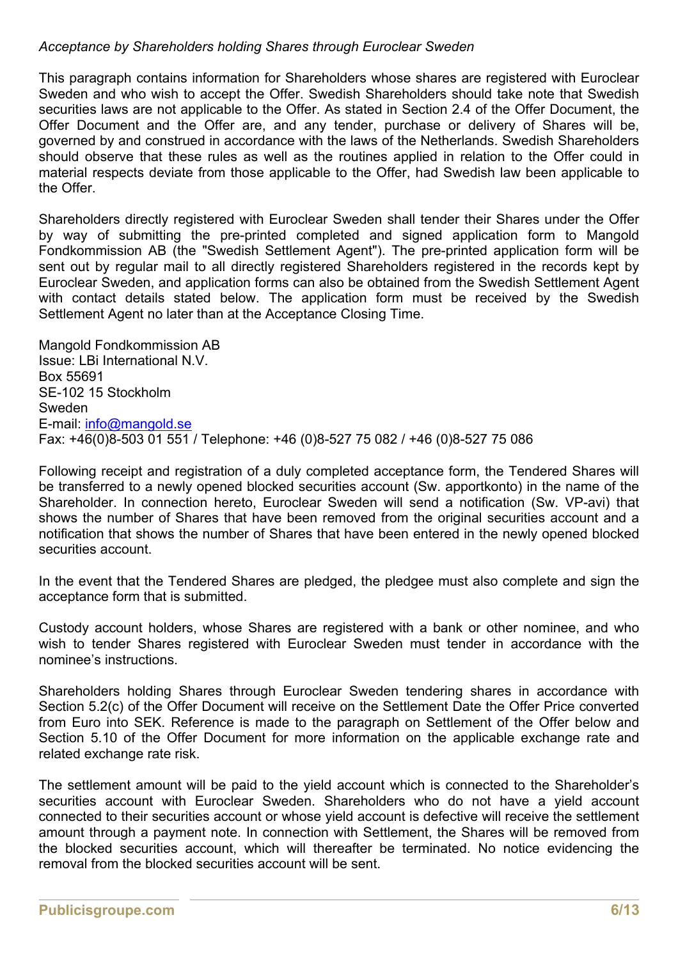#### *Acceptance by Shareholders holding Shares through Euroclear Sweden*

This paragraph contains information for Shareholders whose shares are registered with Euroclear Sweden and who wish to accept the Offer. Swedish Shareholders should take note that Swedish securities laws are not applicable to the Offer. As stated in Section 2.4 of the Offer Document, the Offer Document and the Offer are, and any tender, purchase or delivery of Shares will be, governed by and construed in accordance with the laws of the Netherlands. Swedish Shareholders should observe that these rules as well as the routines applied in relation to the Offer could in material respects deviate from those applicable to the Offer, had Swedish law been applicable to the Offer.

Shareholders directly registered with Euroclear Sweden shall tender their Shares under the Offer by way of submitting the pre-printed completed and signed application form to Mangold Fondkommission AB (the "Swedish Settlement Agent"). The pre-printed application form will be sent out by regular mail to all directly registered Shareholders registered in the records kept by Euroclear Sweden, and application forms can also be obtained from the Swedish Settlement Agent with contact details stated below. The application form must be received by the Swedish Settlement Agent no later than at the Acceptance Closing Time.

Mangold Fondkommission AB Issue: LBi International N.V. Box 55691 SE-102 15 Stockholm Sweden E-mail: [info@mangold.se](mailto:info@mangold.se) Fax: +46(0)8-503 01 551 / Telephone: +46 (0)8-527 75 082 / +46 (0)8-527 75 086

Following receipt and registration of a duly completed acceptance form, the Tendered Shares will be transferred to a newly opened blocked securities account (Sw. apportkonto) in the name of the Shareholder. In connection hereto, Euroclear Sweden will send a notification (Sw. VP-avi) that shows the number of Shares that have been removed from the original securities account and a notification that shows the number of Shares that have been entered in the newly opened blocked securities account.

In the event that the Tendered Shares are pledged, the pledgee must also complete and sign the acceptance form that is submitted.

Custody account holders, whose Shares are registered with a bank or other nominee, and who wish to tender Shares registered with Euroclear Sweden must tender in accordance with the nominee's instructions.

Shareholders holding Shares through Euroclear Sweden tendering shares in accordance with Section 5.2(c) of the Offer Document will receive on the Settlement Date the Offer Price converted from Euro into SEK. Reference is made to the paragraph on Settlement of the Offer below and Section 5.10 of the Offer Document for more information on the applicable exchange rate and related exchange rate risk.

The settlement amount will be paid to the yield account which is connected to the Shareholder's securities account with Euroclear Sweden. Shareholders who do not have a yield account connected to their securities account or whose yield account is defective will receive the settlement amount through a payment note. In connection with Settlement, the Shares will be removed from the blocked securities account, which will thereafter be terminated. No notice evidencing the removal from the blocked securities account will be sent.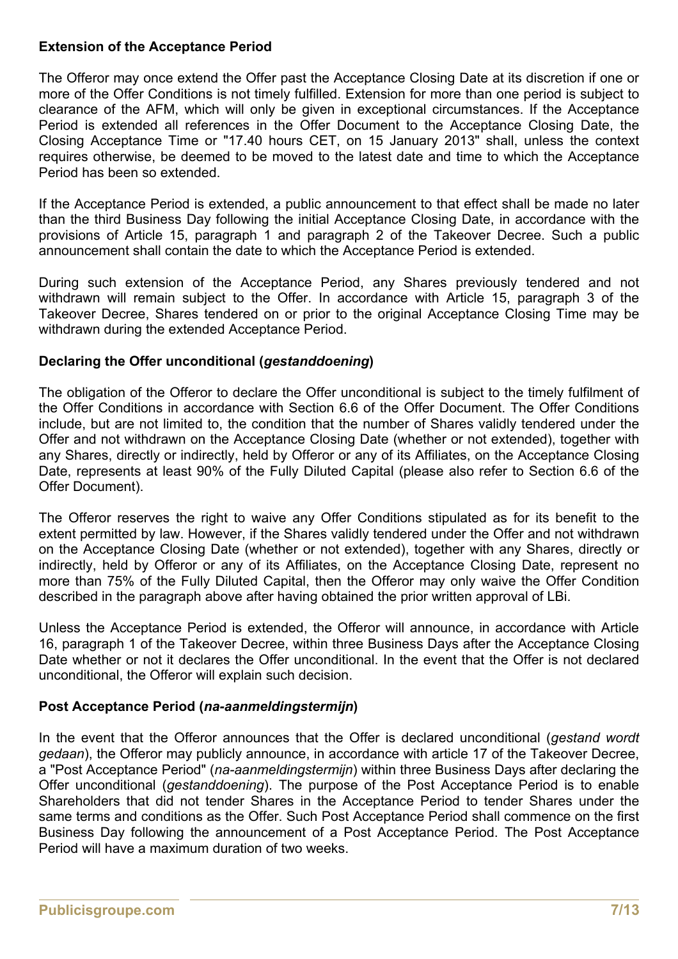#### **Extension of the Acceptance Period**

The Offeror may once extend the Offer past the Acceptance Closing Date at its discretion if one or more of the Offer Conditions is not timely fulfilled. Extension for more than one period is subject to clearance of the AFM, which will only be given in exceptional circumstances. If the Acceptance Period is extended all references in the Offer Document to the Acceptance Closing Date, the Closing Acceptance Time or "17.40 hours CET, on 15 January 2013" shall, unless the context requires otherwise, be deemed to be moved to the latest date and time to which the Acceptance Period has been so extended.

If the Acceptance Period is extended, a public announcement to that effect shall be made no later than the third Business Day following the initial Acceptance Closing Date, in accordance with the provisions of Article 15, paragraph 1 and paragraph 2 of the Takeover Decree. Such a public announcement shall contain the date to which the Acceptance Period is extended.

During such extension of the Acceptance Period, any Shares previously tendered and not withdrawn will remain subject to the Offer. In accordance with Article 15, paragraph 3 of the Takeover Decree, Shares tendered on or prior to the original Acceptance Closing Time may be withdrawn during the extended Acceptance Period.

#### **Declaring the Offer unconditional (***gestanddoening***)**

The obligation of the Offeror to declare the Offer unconditional is subject to the timely fulfilment of the Offer Conditions in accordance with Section 6.6 of the Offer Document. The Offer Conditions include, but are not limited to, the condition that the number of Shares validly tendered under the Offer and not withdrawn on the Acceptance Closing Date (whether or not extended), together with any Shares, directly or indirectly, held by Offeror or any of its Affiliates, on the Acceptance Closing Date, represents at least 90% of the Fully Diluted Capital (please also refer to Section 6.6 of the Offer Document).

The Offeror reserves the right to waive any Offer Conditions stipulated as for its benefit to the extent permitted by law. However, if the Shares validly tendered under the Offer and not withdrawn on the Acceptance Closing Date (whether or not extended), together with any Shares, directly or indirectly, held by Offeror or any of its Affiliates, on the Acceptance Closing Date, represent no more than 75% of the Fully Diluted Capital, then the Offeror may only waive the Offer Condition described in the paragraph above after having obtained the prior written approval of LBi.

Unless the Acceptance Period is extended, the Offeror will announce, in accordance with Article 16, paragraph 1 of the Takeover Decree, within three Business Days after the Acceptance Closing Date whether or not it declares the Offer unconditional. In the event that the Offer is not declared unconditional, the Offeror will explain such decision.

#### **Post Acceptance Period (***na-aanmeldingstermijn***)**

In the event that the Offeror announces that the Offer is declared unconditional (*gestand wordt gedaan*), the Offeror may publicly announce, in accordance with article 17 of the Takeover Decree, a "Post Acceptance Period" (*na-aanmeldingstermijn*) within three Business Days after declaring the Offer unconditional (*gestanddoening*). The purpose of the Post Acceptance Period is to enable Shareholders that did not tender Shares in the Acceptance Period to tender Shares under the same terms and conditions as the Offer. Such Post Acceptance Period shall commence on the first Business Day following the announcement of a Post Acceptance Period. The Post Acceptance Period will have a maximum duration of two weeks.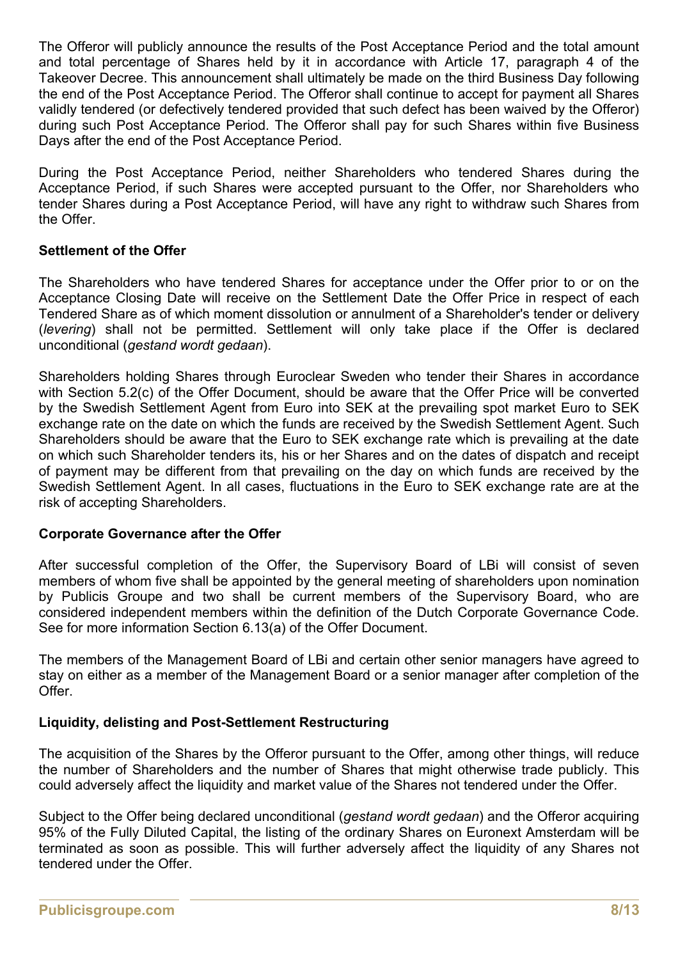The Offeror will publicly announce the results of the Post Acceptance Period and the total amount and total percentage of Shares held by it in accordance with Article 17, paragraph 4 of the Takeover Decree. This announcement shall ultimately be made on the third Business Day following the end of the Post Acceptance Period. The Offeror shall continue to accept for payment all Shares validly tendered (or defectively tendered provided that such defect has been waived by the Offeror) during such Post Acceptance Period. The Offeror shall pay for such Shares within five Business Days after the end of the Post Acceptance Period.

During the Post Acceptance Period, neither Shareholders who tendered Shares during the Acceptance Period, if such Shares were accepted pursuant to the Offer, nor Shareholders who tender Shares during a Post Acceptance Period, will have any right to withdraw such Shares from the Offer.

#### **Settlement of the Offer**

The Shareholders who have tendered Shares for acceptance under the Offer prior to or on the Acceptance Closing Date will receive on the Settlement Date the Offer Price in respect of each Tendered Share as of which moment dissolution or annulment of a Shareholder's tender or delivery (*levering*) shall not be permitted. Settlement will only take place if the Offer is declared unconditional (*gestand wordt gedaan*).

Shareholders holding Shares through Euroclear Sweden who tender their Shares in accordance with Section 5.2(c) of the Offer Document, should be aware that the Offer Price will be converted by the Swedish Settlement Agent from Euro into SEK at the prevailing spot market Euro to SEK exchange rate on the date on which the funds are received by the Swedish Settlement Agent. Such Shareholders should be aware that the Euro to SEK exchange rate which is prevailing at the date on which such Shareholder tenders its, his or her Shares and on the dates of dispatch and receipt of payment may be different from that prevailing on the day on which funds are received by the Swedish Settlement Agent. In all cases, fluctuations in the Euro to SEK exchange rate are at the risk of accepting Shareholders.

#### **Corporate Governance after the Offer**

After successful completion of the Offer, the Supervisory Board of LBi will consist of seven members of whom five shall be appointed by the general meeting of shareholders upon nomination by Publicis Groupe and two shall be current members of the Supervisory Board, who are considered independent members within the definition of the Dutch Corporate Governance Code. See for more information Section 6.13(a) of the Offer Document.

The members of the Management Board of LBi and certain other senior managers have agreed to stay on either as a member of the Management Board or a senior manager after completion of the Offer.

#### **Liquidity, delisting and Post-Settlement Restructuring**

The acquisition of the Shares by the Offeror pursuant to the Offer, among other things, will reduce the number of Shareholders and the number of Shares that might otherwise trade publicly. This could adversely affect the liquidity and market value of the Shares not tendered under the Offer.

Subject to the Offer being declared unconditional (*gestand wordt gedaan*) and the Offeror acquiring 95% of the Fully Diluted Capital, the listing of the ordinary Shares on Euronext Amsterdam will be terminated as soon as possible. This will further adversely affect the liquidity of any Shares not tendered under the Offer.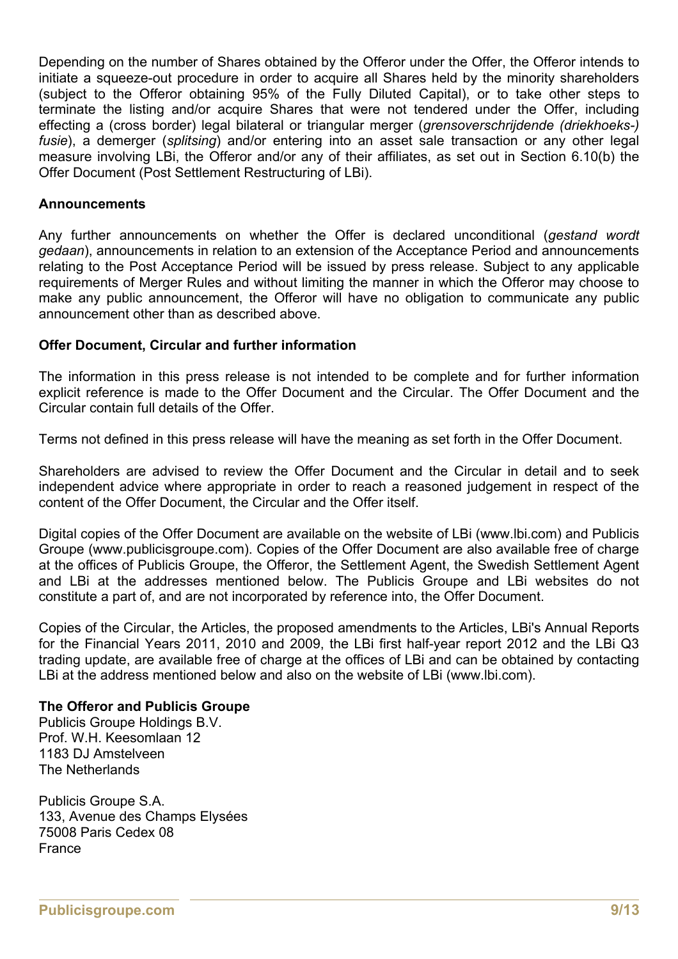Depending on the number of Shares obtained by the Offeror under the Offer, the Offeror intends to initiate a squeeze-out procedure in order to acquire all Shares held by the minority shareholders (subject to the Offeror obtaining 95% of the Fully Diluted Capital), or to take other steps to terminate the listing and/or acquire Shares that were not tendered under the Offer, including effecting a (cross border) legal bilateral or triangular merger (*grensoverschrijdende (driekhoeks-) fusie*), a demerger (*splitsing*) and/or entering into an asset sale transaction or any other legal measure involving LBi, the Offeror and/or any of their affiliates, as set out in Section 6.10(b) the Offer Document (Post Settlement Restructuring of LBi).

#### **Announcements**

Any further announcements on whether the Offer is declared unconditional (*gestand wordt gedaan*), announcements in relation to an extension of the Acceptance Period and announcements relating to the Post Acceptance Period will be issued by press release. Subject to any applicable requirements of Merger Rules and without limiting the manner in which the Offeror may choose to make any public announcement, the Offeror will have no obligation to communicate any public announcement other than as described above.

#### **Offer Document, Circular and further information**

The information in this press release is not intended to be complete and for further information explicit reference is made to the Offer Document and the Circular. The Offer Document and the Circular contain full details of the Offer.

Terms not defined in this press release will have the meaning as set forth in the Offer Document.

Shareholders are advised to review the Offer Document and the Circular in detail and to seek independent advice where appropriate in order to reach a reasoned judgement in respect of the content of the Offer Document, the Circular and the Offer itself.

Digital copies of the Offer Document are available on the website of LBi (www.lbi.com) and Publicis Groupe (www.publicisgroupe.com). Copies of the Offer Document are also available free of charge at the offices of Publicis Groupe, the Offeror, the Settlement Agent, the Swedish Settlement Agent and LBi at the addresses mentioned below. The Publicis Groupe and LBi websites do not constitute a part of, and are not incorporated by reference into, the Offer Document.

Copies of the Circular, the Articles, the proposed amendments to the Articles, LBi's Annual Reports for the Financial Years 2011, 2010 and 2009, the LBi first half-year report 2012 and the LBi Q3 trading update, are available free of charge at the offices of LBi and can be obtained by contacting LBi at the address mentioned below and also on the website of LBi (www.lbi.com).

#### **The Offeror and Publicis Groupe**

Publicis Groupe Holdings B.V. Prof. W.H. Keesomlaan 12 1183 DJ Amstelveen The Netherlands

Publicis Groupe S.A. 133, Avenue des Champs Elysées 75008 Paris Cedex 08 **France**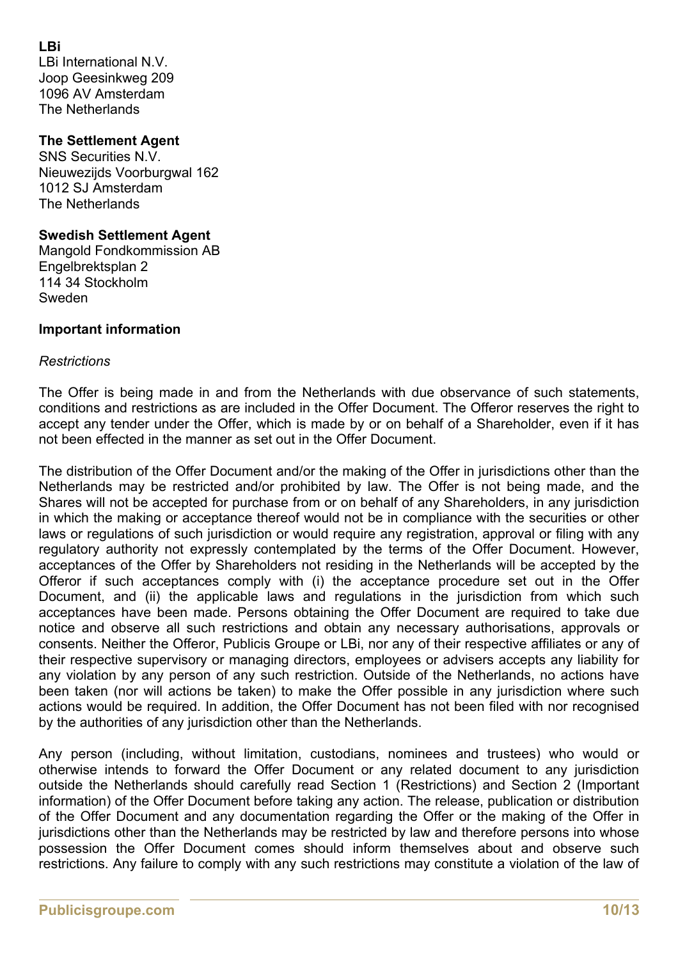# **LBi**

LBi International N.V. Joop Geesinkweg 209 1096 AV Amsterdam The Netherlands

#### **The Settlement Agent**

SNS Securities N.V. Nieuwezijds Voorburgwal 162 1012 SJ Amsterdam The Netherlands

#### **Swedish Settlement Agent**

Mangold Fondkommission AB Engelbrektsplan 2 114 34 Stockholm Sweden

#### **Important information**

#### *Restrictions*

The Offer is being made in and from the Netherlands with due observance of such statements, conditions and restrictions as are included in the Offer Document. The Offeror reserves the right to accept any tender under the Offer, which is made by or on behalf of a Shareholder, even if it has not been effected in the manner as set out in the Offer Document.

The distribution of the Offer Document and/or the making of the Offer in jurisdictions other than the Netherlands may be restricted and/or prohibited by law. The Offer is not being made, and the Shares will not be accepted for purchase from or on behalf of any Shareholders, in any jurisdiction in which the making or acceptance thereof would not be in compliance with the securities or other laws or regulations of such jurisdiction or would require any registration, approval or filing with any regulatory authority not expressly contemplated by the terms of the Offer Document. However, acceptances of the Offer by Shareholders not residing in the Netherlands will be accepted by the Offeror if such acceptances comply with (i) the acceptance procedure set out in the Offer Document, and (ii) the applicable laws and regulations in the jurisdiction from which such acceptances have been made. Persons obtaining the Offer Document are required to take due notice and observe all such restrictions and obtain any necessary authorisations, approvals or consents. Neither the Offeror, Publicis Groupe or LBi, nor any of their respective affiliates or any of their respective supervisory or managing directors, employees or advisers accepts any liability for any violation by any person of any such restriction. Outside of the Netherlands, no actions have been taken (nor will actions be taken) to make the Offer possible in any jurisdiction where such actions would be required. In addition, the Offer Document has not been filed with nor recognised by the authorities of any jurisdiction other than the Netherlands.

Any person (including, without limitation, custodians, nominees and trustees) who would or otherwise intends to forward the Offer Document or any related document to any jurisdiction outside the Netherlands should carefully read Section 1 (Restrictions) and Section 2 (Important information) of the Offer Document before taking any action. The release, publication or distribution of the Offer Document and any documentation regarding the Offer or the making of the Offer in jurisdictions other than the Netherlands may be restricted by law and therefore persons into whose possession the Offer Document comes should inform themselves about and observe such restrictions. Any failure to comply with any such restrictions may constitute a violation of the law of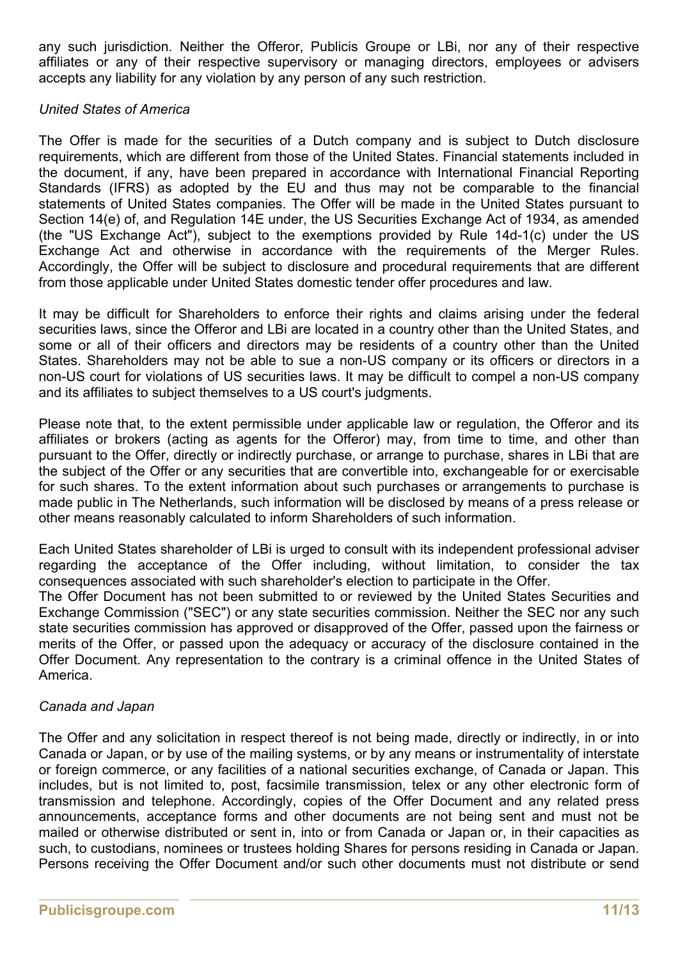any such jurisdiction. Neither the Offeror, Publicis Groupe or LBi, nor any of their respective affiliates or any of their respective supervisory or managing directors, employees or advisers accepts any liability for any violation by any person of any such restriction.

#### *United States of America*

The Offer is made for the securities of a Dutch company and is subject to Dutch disclosure requirements, which are different from those of the United States. Financial statements included in the document, if any, have been prepared in accordance with International Financial Reporting Standards (IFRS) as adopted by the EU and thus may not be comparable to the financial statements of United States companies. The Offer will be made in the United States pursuant to Section 14(e) of, and Regulation 14E under, the US Securities Exchange Act of 1934, as amended (the "US Exchange Act"), subject to the exemptions provided by Rule 14d-1(c) under the US Exchange Act and otherwise in accordance with the requirements of the Merger Rules. Accordingly, the Offer will be subject to disclosure and procedural requirements that are different from those applicable under United States domestic tender offer procedures and law.

It may be difficult for Shareholders to enforce their rights and claims arising under the federal securities laws, since the Offeror and LBi are located in a country other than the United States, and some or all of their officers and directors may be residents of a country other than the United States. Shareholders may not be able to sue a non-US company or its officers or directors in a non-US court for violations of US securities laws. It may be difficult to compel a non-US company and its affiliates to subject themselves to a US court's judgments.

Please note that, to the extent permissible under applicable law or regulation, the Offeror and its affiliates or brokers (acting as agents for the Offeror) may, from time to time, and other than pursuant to the Offer, directly or indirectly purchase, or arrange to purchase, shares in LBi that are the subject of the Offer or any securities that are convertible into, exchangeable for or exercisable for such shares. To the extent information about such purchases or arrangements to purchase is made public in The Netherlands, such information will be disclosed by means of a press release or other means reasonably calculated to inform Shareholders of such information.

Each United States shareholder of LBi is urged to consult with its independent professional adviser regarding the acceptance of the Offer including, without limitation, to consider the tax consequences associated with such shareholder's election to participate in the Offer.

The Offer Document has not been submitted to or reviewed by the United States Securities and Exchange Commission ("SEC") or any state securities commission. Neither the SEC nor any such state securities commission has approved or disapproved of the Offer, passed upon the fairness or merits of the Offer, or passed upon the adequacy or accuracy of the disclosure contained in the Offer Document. Any representation to the contrary is a criminal offence in the United States of America.

#### *Canada and Japan*

The Offer and any solicitation in respect thereof is not being made, directly or indirectly, in or into Canada or Japan, or by use of the mailing systems, or by any means or instrumentality of interstate or foreign commerce, or any facilities of a national securities exchange, of Canada or Japan. This includes, but is not limited to, post, facsimile transmission, telex or any other electronic form of transmission and telephone. Accordingly, copies of the Offer Document and any related press announcements, acceptance forms and other documents are not being sent and must not be mailed or otherwise distributed or sent in, into or from Canada or Japan or, in their capacities as such, to custodians, nominees or trustees holding Shares for persons residing in Canada or Japan. Persons receiving the Offer Document and/or such other documents must not distribute or send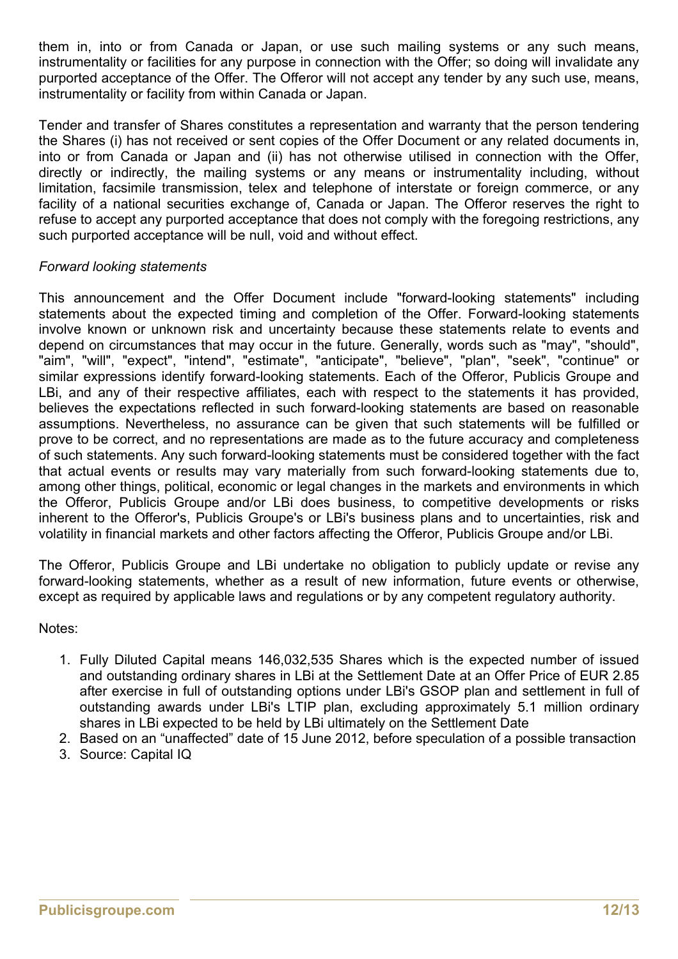them in, into or from Canada or Japan, or use such mailing systems or any such means, instrumentality or facilities for any purpose in connection with the Offer; so doing will invalidate any purported acceptance of the Offer. The Offeror will not accept any tender by any such use, means, instrumentality or facility from within Canada or Japan.

Tender and transfer of Shares constitutes a representation and warranty that the person tendering the Shares (i) has not received or sent copies of the Offer Document or any related documents in, into or from Canada or Japan and (ii) has not otherwise utilised in connection with the Offer, directly or indirectly, the mailing systems or any means or instrumentality including, without limitation, facsimile transmission, telex and telephone of interstate or foreign commerce, or any facility of a national securities exchange of, Canada or Japan. The Offeror reserves the right to refuse to accept any purported acceptance that does not comply with the foregoing restrictions, any such purported acceptance will be null, void and without effect.

#### *Forward looking statements*

This announcement and the Offer Document include "forward-looking statements" including statements about the expected timing and completion of the Offer. Forward-looking statements involve known or unknown risk and uncertainty because these statements relate to events and depend on circumstances that may occur in the future. Generally, words such as "may", "should", "aim", "will", "expect", "intend", "estimate", "anticipate", "believe", "plan", "seek", "continue" or similar expressions identify forward-looking statements. Each of the Offeror, Publicis Groupe and LBi, and any of their respective affiliates, each with respect to the statements it has provided, believes the expectations reflected in such forward-looking statements are based on reasonable assumptions. Nevertheless, no assurance can be given that such statements will be fulfilled or prove to be correct, and no representations are made as to the future accuracy and completeness of such statements. Any such forward-looking statements must be considered together with the fact that actual events or results may vary materially from such forward-looking statements due to, among other things, political, economic or legal changes in the markets and environments in which the Offeror, Publicis Groupe and/or LBi does business, to competitive developments or risks inherent to the Offeror's, Publicis Groupe's or LBi's business plans and to uncertainties, risk and volatility in financial markets and other factors affecting the Offeror, Publicis Groupe and/or LBi.

The Offeror, Publicis Groupe and LBi undertake no obligation to publicly update or revise any forward-looking statements, whether as a result of new information, future events or otherwise, except as required by applicable laws and regulations or by any competent regulatory authority.

Notes:

- 1. Fully Diluted Capital means 146,032,535 Shares which is the expected number of issued and outstanding ordinary shares in LBi at the Settlement Date at an Offer Price of EUR 2.85 after exercise in full of outstanding options under LBi's GSOP plan and settlement in full of outstanding awards under LBi's LTIP plan, excluding approximately 5.1 million ordinary shares in LBi expected to be held by LBi ultimately on the Settlement Date
- 2. Based on an "unaffected" date of 15 June 2012, before speculation of a possible transaction
- 3. Source: Capital IQ